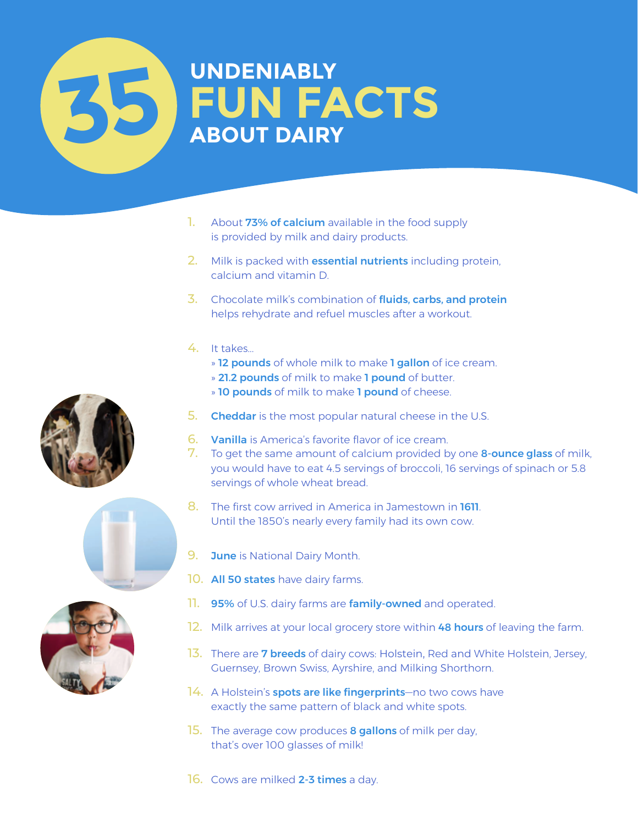## **UNDENIABLY ABOUT DAIRY UN FACTS 35**

- 1. About 73% of calcium available in the food supply is provided by milk and dairy products.
- 2. Milk is packed with **essential nutrients** including protein, calcium and vitamin D.
- 3. Chocolate milk's combination of fluids, carbs, and protein helps rehydrate and refuel muscles after a workout.
- 4. It takes...
	- » **12 pounds** of whole milk to make **1 gallon** of ice cream.
	- » 21.2 pounds of milk to make 1 pound of butter.
	- » 10 pounds of milk to make 1 pound of cheese.
- 5. Cheddar is the most popular natural cheese in the U.S.
- 6. Vanilla is America's favorite flavor of ice cream.
- 7. To get the same amount of calcium provided by one **8-ounce glass** of milk, you would have to eat 4.5 servings of broccoli, 16 servings of spinach or 5.8 servings of whole wheat bread.
- 8. The first cow arrived in America in Jamestown in **1611** Until the 1850's nearly every family had its own cow.
- 9. June is National Dairy Month.
- 10. All 50 states have dairy farms.
- 11. 95% of U.S. dairy farms are family-owned and operated.
- 12. Milk arrives at your local grocery store within 48 hours of leaving the farm.
- 13. There are **7 breeds** of dairy cows: Holstein, Red and White Holstein, Jersey, Guernsey, Brown Swiss, Ayrshire, and Milking Shorthorn.
- 14. A Holstein's **spots are like fingerprints**—no two cows have exactly the same pattern of black and white spots.
- 15. The average cow produces 8 gallons of milk per day, that's over 100 glasses of milk!







16. Cows are milked 2-3 times a day.